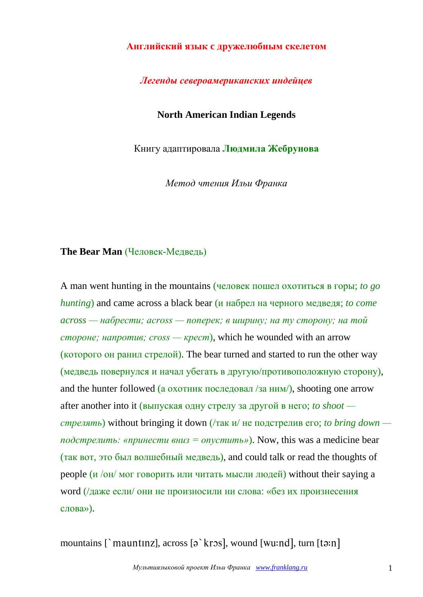#### **Английский язык c дружелюбным скелетом**

### *Легенды североамериканских индейцев*

## **North American Indian Legends**

Книгу адаптировала **Людмила Жебрунова**

*Метод чтения Ильи Франка*

#### **The Bear Man** (Человек-Медведь)

A man went hunting in the mountains (человек пошел охотиться в горы; *to go hunting*) and came across a black bear (и набрел на черного медведя; *to come across — набрести; across — поперек; в ширину; на ту сторону; на той стороне; напротив; cross — крест*), which he wounded with an arrow (которого он ранил стрелой). The bear turned and started to run the other way (медведь повернулся и начал убегать в другую/противоположную сторону), and the hunter followed (а охотник последовал /за ним/), shooting one arrow after another into it (выпуская одну стрелу за другой в него; *to shoot стрелять*) without bringing it down (/так и/ не подстрелив его; *to bring down подстрелить: «принести вниз = опустить»*). Now, this was a medicine bear (так вот, это был волшебный медведь), and could talk or read the thoughts of people (и /он/ мог говорить или читать мысли людей) without their saying a word (/даже если/ они не произносили ни слова: «без их произнесения слова»).

mountains [`mauntinz], across  $[\hat{\sigma}$ `kros], wound [wu:nd], turn [tə:n]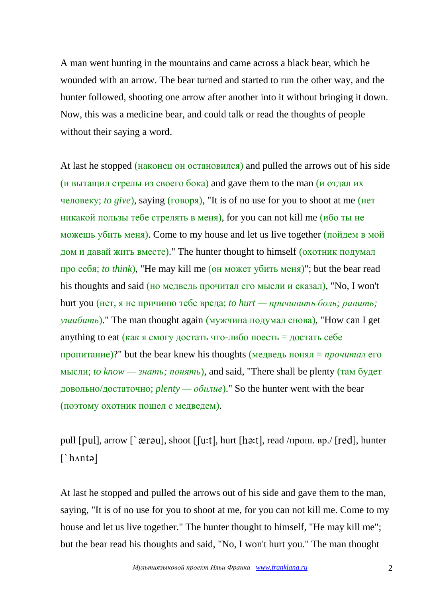A man went hunting in the mountains and came across a black bear, which he wounded with an arrow. The bear turned and started to run the other way, and the hunter followed, shooting one arrow after another into it without bringing it down. Now, this was a medicine bear, and could talk or read the thoughts of people without their saying a word.

At last he stopped (наконец он остановился) and pulled the arrows out of his side (и вытащил стрелы из своего бока) and gave them to the man  $\mu$  отдал их человеку; *to give*), saying (говоря), "It is of no use for you to shoot at me (нет никакой пользы тебе стрелять в меня), for you can not kill me (ибо ты не можешь убить меня). Come to my house and let us live together (пойдем в мой дом и давай жить вместе)." The hunter thought to himself (охотник подумал про себя; *to think*), "He may kill me (он может убить меня)"; but the bear read his thoughts and said (но медведь прочитал его мысли и сказал), "No, I won't hurt you (нет, я не причиню тебе вреда; *to hurt — причинить боль; ранить; ушибить*)." The man thought again (мужчина подумал снова), "How can I get anything to eat (как я смогу достать что-либо поесть = достать себе пропитание)?" but the bear knew his thoughts (медведь понял = *прочитал* его мысли; *to know — знать; понять*), and said, "There shall be plenty (там будет довольно/достаточно; *plenty — обилие*)." So the hunter went with the bear (поэтому охотник пошел с медведем).

pull [ ], arrow [ ], shoot [ , hurt [ , read /прош. вр./ [ ], hunter [`h^ntə]

At last he stopped and pulled the arrows out of his side and gave them to the man, saying, "It is of no use for you to shoot at me, for you can not kill me. Come to my house and let us live together." The hunter thought to himself, "He may kill me"; but the bear read his thoughts and said, "No, I won't hurt you." The man thought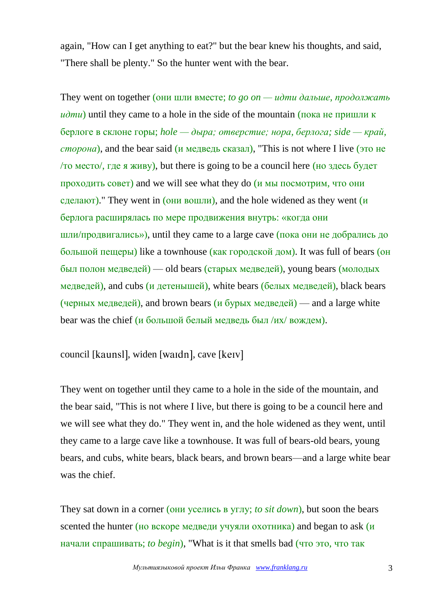again, "How can I get anything to eat?" but the bear knew his thoughts, and said, "There shall be plenty." So the hunter went with the bear.

They went on together (они шли вместе; *to go on — идти дальше, продолжать идти*) until they came to a hole in the side of the mountain (пока не пришли к берлоге в склоне горы; *hole — дыра; отверстие; нора, берлога; side — край, сторона*), and the bear said (и медведь сказал), "This is not where I live (это не /то место/, где я живу), but there is going to be a council here (но здесь будет проходить совет) and we will see what they do  $(u$  мы посмотрим, что они сделают)." They went in  $(OHH)$  вошли), and the hole widened as they went  $(u)$ берлога расширялась по мере продвижения внутрь: «когда они шли/продвигались»), until they came to a large cave (пока они не добрались до большой пещеры) like a townhouse (как городской дом). It was full of bears (он был полон медведей) — old bears (старых медведей), young bears (молодых медведей), and cubs (и детенышей), white bears (белых медведей), black bears (черных медведей), and brown bears  $(u 6y)$ рых медведей) — and a large white bear was the chief (и большой белый медведь был /их/ вождем).

council [kaunsl], widen [waidn], cave [keɪv]

They went on together until they came to a hole in the side of the mountain, and the bear said, "This is not where I live, but there is going to be a council here and we will see what they do." They went in, and the hole widened as they went, until they came to a large cave like a townhouse. It was full of bears-old bears, young bears, and cubs, white bears, black bears, and brown bears—and a large white bear was the chief.

They sat down in a corner (они уселись в углу; *to sit down*), but soon the bears scented the hunter (но вскоре медведи учуяли охотника) and began to ask  $(u)$ начали спрашивать; *to begin*), "What is it that smells bad (что это, что так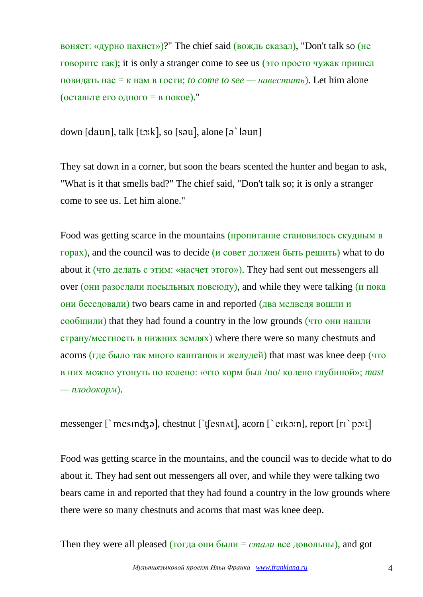воняет: «дурно пахнет»)?" The chief said (вождь сказал), "Don't talk so (не говорите так); it is only a stranger come to see us (это просто чужак пришел повидать нас = к нам в гости; *to come to see — навестить*). Let him alone (оставьте его одного = в покое)."

down [daun], talk [ $t$ :k], so [sau], alone [a `laun]

They sat down in a corner, but soon the bears scented the hunter and began to ask, "What is it that smells bad?" The chief said, "Don't talk so; it is only a stranger come to see us. Let him alone."

Food was getting scarce in the mountains (пропитание становилось скудным в горах), and the council was to decide (и совет должен быть решить) what to do about it (что делать с этим: «насчет этого»). They had sent out messengers all over (они разослали посыльных повсюду), and while they were talking (и пока они беседовали) two bears came in and reported (два медведя вошли и сообщили) that they had found a country in the low grounds (что они нашли страну/местность в нижних землях) where there were so many chestnuts and acorns (где было так много каштанов и желудей) that mast was knee deep (что в них можно утонуть по колено: «что корм был /по/ колено глубиной»; *mast — плодокорм*).

messenger [`mesind3ə], chestnut [`t[esn $\Lambda t$ ], acorn [`eik $\Im$ :n], report [ri`p $\Im$ :t]

Food was getting scarce in the mountains, and the council was to decide what to do about it. They had sent out messengers all over, and while they were talking two bears came in and reported that they had found a country in the low grounds where there were so many chestnuts and acorns that mast was knee deep.

Then they were all pleased (тогда они были = *стали* все довольны), and got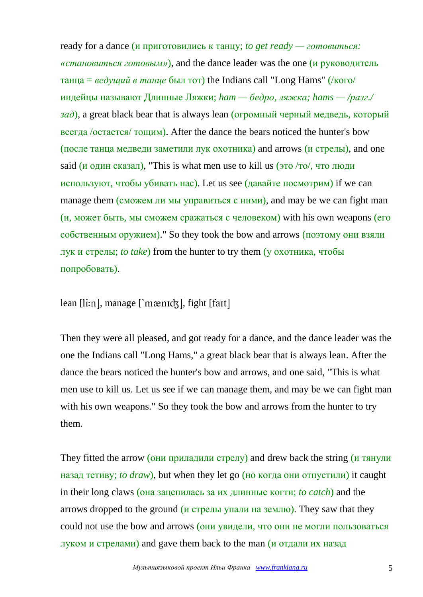ready for a dance (и приготовились к танцу; *to get ready — готовиться: «становиться готовым»*), and the dance leader was the one (и руководитель танца = *ведущий в танце* был тот) the Indians call "Long Hams" (/кого/ индейцы называют Длинные Ляжки; *ham — бедро, ляжка; hams — /разг./*   $(a, b)$ , a great black bear that is always lean (огромный черный медведь, который всегда /остается/ тощим). After the dance the bears noticed the hunter's bow (после танца медведи заметили лук охотника) and arrows (и стрелы), and one said (и один сказал), "This is what men use to kill us (это /то/, что люди используют, чтобы убивать нас). Let us see (давайте посмотрим) if we can manage them (сможем ли мы управиться с ними), and may be we can fight man (и, может быть, мы сможем сражаться с человеком) with his own weapons (его собственным оружием)." So they took the bow and arrows (поэтому они взяли лук и стрелы; *to take*) from the hunter to try them (у охотника, чтобы попробовать).

lean [li:n], manage [`mænɪdʒ], fight [faɪt]

Then they were all pleased, and got ready for a dance, and the dance leader was the one the Indians call "Long Hams," a great black bear that is always lean. After the dance the bears noticed the hunter's bow and arrows, and one said, "This is what men use to kill us. Let us see if we can manage them, and may be we can fight man with his own weapons." So they took the bow and arrows from the hunter to try them.

They fitted the arrow (они приладили стрелу) and drew back the string (и тянули назад тетиву; *to draw*), but when they let go (но когда они отпустили) it caught in their long claws (она зацепилась за их длинные когти; *to catch*) and the arrows dropped to the ground (и стрелы упали на землю). They saw that they could not use the bow and arrows (они увидели, что они не могли пользоваться луком и стрелами) and gave them back to the man (и отдали их назад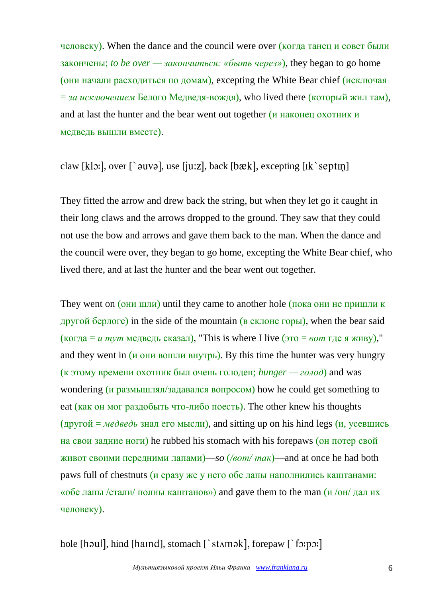человеку). When the dance and the council were over (когда танец и совет были закончены; *to be over — закончиться: «быть через»*), they began to go home  $($ они начали расходиться по домам), excepting the White Bear chief  $($ исключая = *за исключением* Белого Медведя-вождя), who lived there (который жил там), and at last the hunter and the bear went out together (и наконец охотник и медведь вышли вместе).

# claw [klɔ:], over  $\lceil \cdot \text{ouvo} \rceil$ , use [ju:z], back [bæk], excepting [ $\lceil \cdot \text{keptm} \rceil$ ]

They fitted the arrow and drew back the string, but when they let go it caught in their long claws and the arrows dropped to the ground. They saw that they could not use the bow and arrows and gave them back to the man. When the dance and the council were over, they began to go home, excepting the White Bear chief, who lived there, and at last the hunter and the bear went out together.

They went on (они шли) until they came to another hole (пока они не пришли к другой берлоге) in the side of the mountain (в склоне горы), when the bear said (когда = *и тут* медведь сказал), "This is where I live (это = *вот* где я живу)," and they went in  $(\mu)$  ohy bollet below the state of the hunter was very hungry (к этому времени охотник был очень голоден; *hunger — голод*) and was wondering (и размышлял/задавался вопросом) how he could get something to eat (как он мог раздобыть что-либо поесть). The other knew his thoughts (другой = *медведь* знал его мысли), and sitting up on his hind legs (*и*, усевшись на свои задние ноги) he rubbed his stomach with his forepaws (он потер свой живот своими передними лапами)—*so* (*/вот/ так*)—and at once he had both paws full of chestnuts (и сразу же у него обе лапы наполнились каштанами: «обе лапы /стали/ полны каштанов») and gave them to the man (и /он/ дал их человеку).

hole [haul], hind [haind], stomach  $\lceil$  stamak], forepaw  $\lceil$  for px: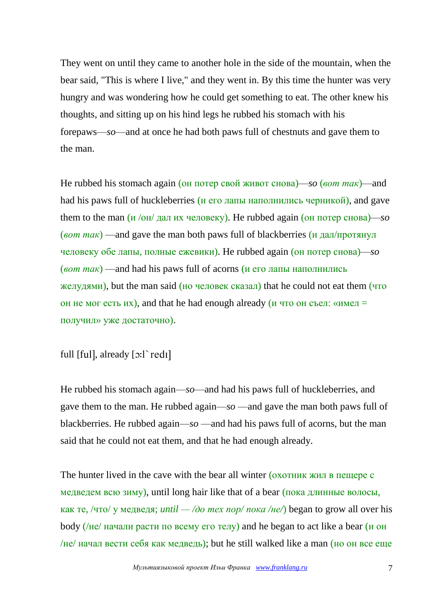They went on until they came to another hole in the side of the mountain, when the bear said, "This is where I live," and they went in. By this time the hunter was very hungry and was wondering how he could get something to eat. The other knew his thoughts, and sitting up on his hind legs he rubbed his stomach with his forepaws—*so*—and at once he had both paws full of chestnuts and gave them to the man.

He rubbed his stomach again (он потер свой живот снова)—*so* (*вот так*)—and had his paws full of huckleberries (и его лапы наполнились черникой), and gave them to the man  $\left(\frac{u}{\text{OH}}\right)$  дал их человеку). He rubbed again (он потер снова)—*so* (*вот так*) —and gave the man both paws full of blackberries (и дал/протянул человеку обе лапы, полные ежевики). He rubbed again (он потер снова)—*so* (*вот так*) —and had his paws full of acorns (и его лапы наполнились желудями), but the man said (но человек сказал) that he could not eat them (что он не мог есть их), and that he had enough already (и что он съел: «имел = получил» уже достаточно).

full [ful], already  $[3:]$  redi]

He rubbed his stomach again—*so*—and had his paws full of huckleberries, and gave them to the man. He rubbed again—*so* —and gave the man both paws full of blackberries. He rubbed again—*so* —and had his paws full of acorns, but the man said that he could not eat them, and that he had enough already.

The hunter lived in the cave with the bear all winter (охотник жил в пещере с медведем всю зиму), until long hair like that of a bear (пока длинные волосы, как те, /что/ у медведя; *until — /до тех пор/ пока /не/*) began to grow all over his body (/не/ начали расти по всему его телу) and he began to act like a bear ( $\mu$  он /не/ начал вести себя как медведь); but he still walked like a man (но он все еще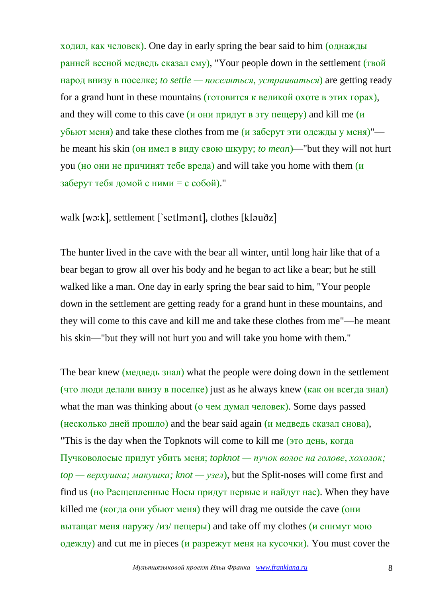ходил, как человек). One day in early spring the bear said to him (однажды ранней весной медведь сказал ему), "Your people down in the settlement (твой народ внизу в поселке; *to settle — поселяться, устраиваться*) are getting ready for a grand hunt in these mountains (готовится к великой охоте в этих горах), and they will come to this cave  $(u$  они придут в эту пещеру) and kill me  $(u$  $\overline{y}$ бьют меня) and take these clothes from me (и заберут эти одежды у меня)" he meant his skin (он имел в виду свою шкуру; *to mean*)—"but they will not hurt you (но они не причинят тебе вреда) and will take you home with them  $(u)$ заберут тебя домой с ними = с собой)."

walk [wo:k], settlement [`setlmont], clothes [kloudz]

The hunter lived in the cave with the bear all winter, until long hair like that of a bear began to grow all over his body and he began to act like a bear; but he still walked like a man. One day in early spring the bear said to him, "Your people down in the settlement are getting ready for a grand hunt in these mountains, and they will come to this cave and kill me and take these clothes from me"—he meant his skin—"but they will not hurt you and will take you home with them."

The bear knew (медведь знал) what the people were doing down in the settlement (что люди делали внизу в поселке) just as he always knew (как он всегда знал) what the man was thinking about ( $\sigma$  чем думал человек). Some days passed (несколько дней прошло) and the bear said again (и медведь сказал снова), "This is the day when the Topknots will come to kill me (это день, когда Пучковолосые придут убить меня; *topknot — пучок волос на голове, хохолок; top — верхушка; макушка; knot — узел*), but the Split-noses will come first and find us (но Расщепленные Носы придут первые и найдут нас). When they have killed me (когда они убьют меня) they will drag me outside the cave (они вытащат меня наружу /из/ пещеры) and take off my clothes (и снимут мою одежду) and cut me in pieces (и разрежут меня на кусочки). You must cover the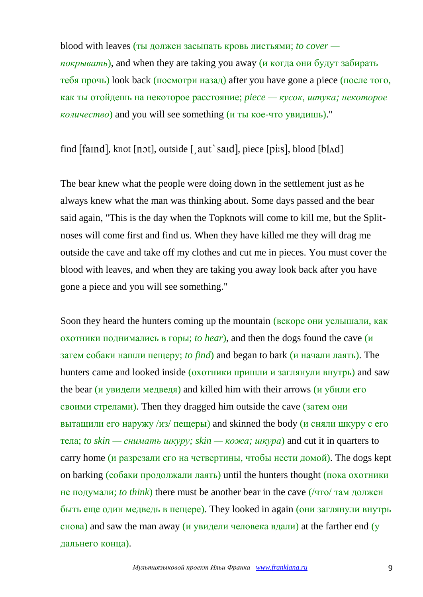blood with leaves (ты должен засыпать кровь листьями; *to cover покрывать*), and when they are taking you away (и когда они будут забирать тебя прочь) look back (посмотри назад) after you have gone a piece (после того, как ты отойдешь на некоторое расстояние; *piece — кусок, штука; некоторое количество*) and you will see something (и ты кое-что увидишь)."

find  $[$ faind $]$ , knot  $[$ n $\circ$ t $]$ , outside  $[$  aut`said $]$ , piece  $[p$ i:s $]$ , blood  $[b$ l $\circ$ d $]$ 

The bear knew what the people were doing down in the settlement just as he always knew what the man was thinking about. Some days passed and the bear said again, "This is the day when the Topknots will come to kill me, but the Splitnoses will come first and find us. When they have killed me they will drag me outside the cave and take off my clothes and cut me in pieces. You must cover the blood with leaves, and when they are taking you away look back after you have gone a piece and you will see something."

Soon they heard the hunters coming up the mountain (вскоре они услышали, как охотники поднимались в горы; *to hear*), and then the dogs found the cave (и затем собаки нашли пещеру; *to find*) and began to bark (и начали лаять). The hunters came and looked inside (охотники пришли и заглянули внутрь) and saw the bear (и увидели медведя) and killed him with their arrows (и убили его своими стрелами). Then they dragged him outside the cave (затем они вытащили его наружу /из/ пещеры) and skinned the body (и сняли шкуру с его тела; *to skin — снимать шкуру; skin — кожа; шкура*) and cut it in quarters to carry home (и разрезали его на четвертины, чтобы нести домой). The dogs kept on barking (собаки продолжали лаять) until the hunters thought (пока охотники не подумали; *to think*) there must be another bear in the cave (/что/ там должен быть еще один медведь в пещере). They looked in again (они заглянули внутрь снова) and saw the man away (и увидели человека вдали) at the farther end (у дальнего конца).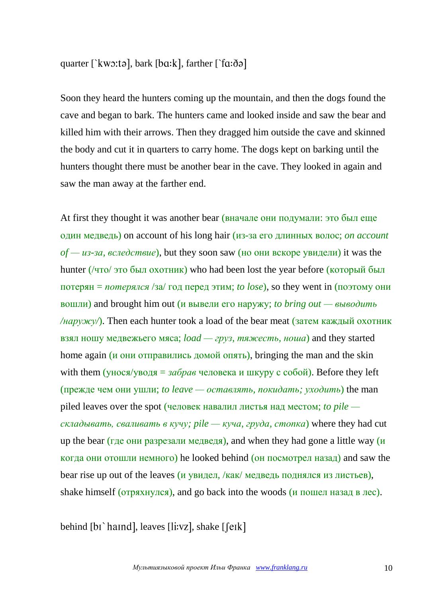# quarter [` $kw$ :tə], bark [ $ba: k$ ], farther [` $fa: \delta$ ə]

Soon they heard the hunters coming up the mountain, and then the dogs found the cave and began to bark. The hunters came and looked inside and saw the bear and killed him with their arrows. Then they dragged him outside the cave and skinned the body and cut it in quarters to carry home. The dogs kept on barking until the hunters thought there must be another bear in the cave. They looked in again and saw the man away at the farther end.

At first they thought it was another bear (вначале они подумали: это был еще один медведь) on account of his long hair (из-за его длинных волос; *on account of — из-за, вследствие*), but they soon saw (но они вскоре увидели) it was the hunter (/что/ это был охотник) who had been lost the year before (который был потерян = *потерялся* /за/ год перед этим; *to lose*), so they went in (поэтому они вошли) and brought him out (и вывели его наружу; *to bring out — выводить /наружу/*). Then each hunter took a load of the bear meat (затем каждый охотник) взял ношу медвежьего мяса; *load — груз, тяжесть, ноша*) and they started home again (*и* они отправились домой опять), bringing the man and the skin with them ( $\gamma$ нося/ $\gamma$ водя = *забрав* человека и шкуру с собой). Before they left (прежде чем они ушли; *to leave — оставлять, покидать; уходить*) the man piled leaves over the spot (человек навалил листья над местом; *to pile складывать, сваливать в кучу; pile — куча, груда, стопка*) where they had cut up the bear (где они разрезали медведя), and when they had gone a little way  $(u)$ когда они отошли немного) he looked behind (он посмотрел назад) and saw the bear rise up out of the leaves (и увидел, /как/ медведь поднялся из листьев), shake himself (отряхнулся), and go back into the woods (и пошел назад в лес).

behind [b1`haind], leaves [li:vz], shake [feik]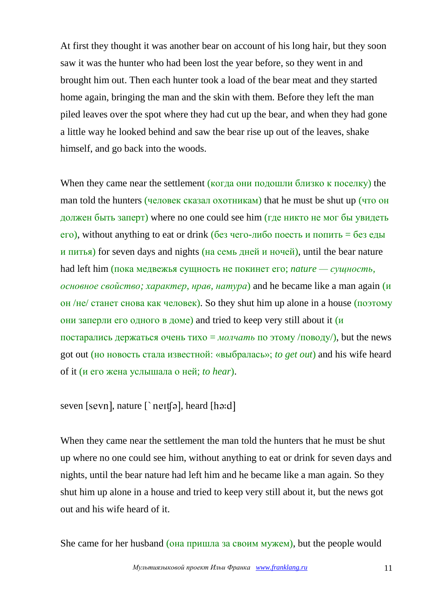At first they thought it was another bear on account of his long hair, but they soon saw it was the hunter who had been lost the year before, so they went in and brought him out. Then each hunter took a load of the bear meat and they started home again, bringing the man and the skin with them. Before they left the man piled leaves over the spot where they had cut up the bear, and when they had gone a little way he looked behind and saw the bear rise up out of the leaves, shake himself, and go back into the woods.

When they came near the settlement (когда они подошли близко к поселку) the man told the hunters (человек сказал охотникам) that he must be shut up (что он должен быть заперт) where no one could see him (где никто не мог бы увидеть  $\epsilon$ го), without anything to eat or drink (без чего-либо поесть и попить = без еды и питья) for seven days and nights (на семь дней и ночей), until the bear nature had left him (пока медвежья сущность не покинет его; *nature — сущность, основное свойство; характер, нрав, натура*) and he became like a man again (и он /не/ станет снова как человек). So they shut him up alone in a house (поэтому они заперли его одного в доме) and tried to keep very still about it  $(u)$ постарались держаться очень тихо = *молчать* по этому /поводу/), but the news got out (но новость стала известной: «выбралась»; *to get out*) and his wife heard of it (и его жена услышала о ней; *to hear*).

seven [sevn], nature  $\lceil \n\rceil$  nett[a], heard [ha:d]

When they came near the settlement the man told the hunters that he must be shut up where no one could see him, without anything to eat or drink for seven days and nights, until the bear nature had left him and he became like a man again. So they shut him up alone in a house and tried to keep very still about it, but the news got out and his wife heard of it.

She came for her husband (она пришла за своим мужем), but the people would